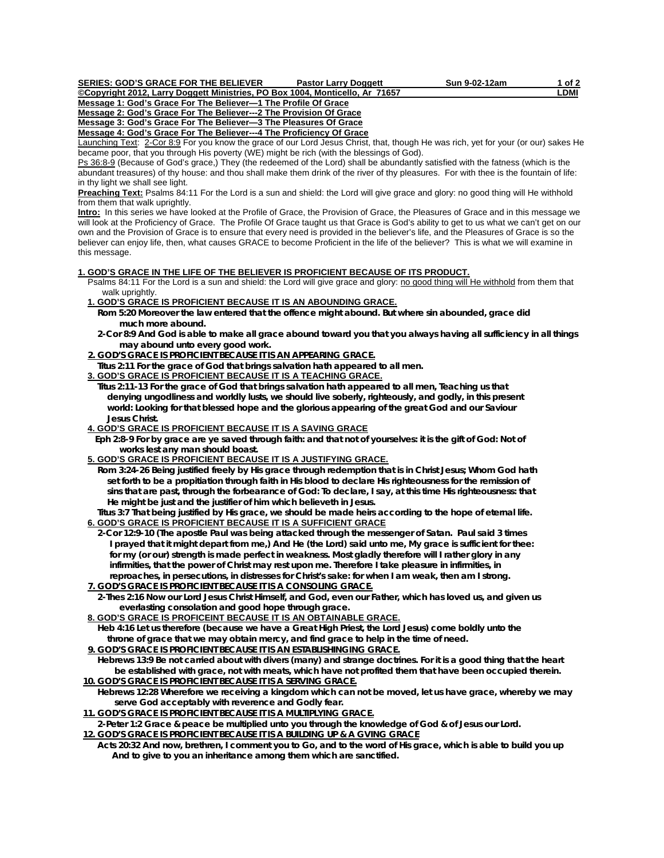Pastor Larry Doggett Sun 9-02-12am 1 of 2

**Copyright 2012, Larry Doggett Ministries, PO Box 1004, Monticello, Ar 71657**<br>Message 1: God's Grace For The Believer—1 The Profile Of Grace **Message 1: God's Grace For The Believer-**

**Message 2: God's Grace For The Believer---2 The Provision Of Grace**

**Message 3: God's Grace For The Believer—3 The Pleasures Of Grace**

**Message 4: God's Grace For The Believer---4 The Proficiency Of Grace**

Launching Text: 2-Cor 8:9 For you know the grace of our Lord Jesus Christ, that, though He was rich, yet for your (or our) sakes He became poor, that you through His poverty (WE) might be rich (with the blessings of God).

Ps 36:8-9 (Because of God's grace,) They (the redeemed of the Lord) shall be abundantly satisfied with the fatness (which is the abundant treasures) of thy house: and thou shall make them drink of the river of thy pleasures. For with thee is the fountain of life: in thy light we shall see light.

**Preaching Text:** Psalms 84:11 For the Lord is a sun and shield: the Lord will give grace and glory: no good thing will He withhold from them that walk uprightly.

**Intro:** In this series we have looked at the Profile of Grace, the Provision of Grace, the Pleasures of Grace and in this message we will look at the Proficiency of Grace. The Profile Of Grace taught us that Grace is God's ability to get to us what we can't get on our own and the Provision of Grace is to ensure that every need is provided in the believer's life, and the Pleasures of Grace is so the believer can enjoy life, then, what causes GRACE to become Proficient in the life of the believer? This is what we will examine in this message.

# **1. GOD'S GRACE IN THE LIFE OF THE BELIEVER IS PROFICIENT BECAUSE OF ITS PRODUCT.**

 Psalms 84:11 For the Lord is a sun and shield: the Lord will give grace and glory: no good thing will He withhold from them that walk uprightly.

## **1. GOD'S GRACE IS PROFICIENT BECAUSE IT IS AN ABOUNDING GRACE.**

- **Rom 5:20 Moreover the law entered that the offence might abound. But where sin abounded, grace did much more abound.**
- **2-Cor 8:9 And God is able to make all grace abound toward you that you always having all sufficiency in all things may abound unto every good work.**
- **2. GOD'S GRACE IS PROFICIENT BECAUSE IT IS AN APPEARING GRACE.**

 **Titus 2:11 For the grace of God that brings salvation hath appeared to all men.** 

# **3. GOD'S GRACE IS PROFICIENT BECAUSE IT IS A TEACHING GRACE.**

 **Titus 2:11-13 For the grace of God that brings salvation hath appeared to all men, Teaching us that denying ungodliness and worldly lusts, we should live soberly, righteously, and godly, in this present world: Looking for that blessed hope and the glorious appearing of the great God and our Saviour Jesus Christ.** 

## **4. GOD'S GRACE IS PROFICIENT BECAUSE IT IS A SAVING GRACE**

 **Eph 2:8-9 For by grace are ye saved through faith: and that not of yourselves: it is the gift of God: Not of works lest any man should boast.** 

## **5. GOD'S GRACE IS PROFICIENT BECAUSE IT IS A JUSTIFYING GRACE.**

 **Rom 3:24-26 Being justified freely by His grace through redemption that is in Christ Jesus; Whom God hath set forth to be a propitiation through faith in His blood to declare His righteousness for the remission of sins that are past, through the forbearance of God: To declare, I say, at this time His righteousness: that He might be just and the justifier of him which believeth in Jesus.** 

 **Titus 3:7 That being justified by His grace, we should be made heirs according to the hope of eternal life. 6. GOD'S GRACE IS PROFICIENT BECAUSE IT IS A SUFFICIENT GRACE**

 **2-Cor 12:9-10 (The apostle Paul was being attacked through the messenger of Satan. Paul said 3 times I prayed that it might depart from me,) And He (the Lord) said unto me, My grace is sufficient for thee: for my (or our) strength is made perfect in weakness. Most gladly therefore will I rather glory in any infirmities, that the power of Christ may rest upon me. Therefore I take pleasure in infirmities, in reproaches, in persecutions, in distresses for Christ's sake: for when I am weak, then am I strong.** 

 **7. GOD'S GRACE IS PROFICIENT BECAUSE IT IS A CONSOLING GRACE. 2-Thes 2:16 Now our Lord Jesus Christ Himself, and God, even our Father, which has loved us, and given us** 

# **everlasting consolation and good hope through grace.**

# **8. GOD'S GRACE IS PROFICEINT BECAUSE IT IS AN OBTAINABLE GRACE.**

 **Heb 4:16 Let us therefore (because we have a Great High Priest, the Lord Jesus) come boldly unto the throne of grace that we may obtain mercy, and find grace to help in the time of need.** 

 **9. GOD'S GRACE IS PROFICIENT BECAUSE IT IS AN ESTABLISHINGING GRACE.**

 **Hebrews 13:9 Be not carried about with divers (many) and strange doctrines. For it is a good thing that the heart be established with grace, not with meats, which have not profited them that have been occupied therein. 10. GOD'S GRACE IS PROFICIENT BECAUSE IT IS A SERVING GRACE.**

 **Hebrews 12:28 Wherefore we receiving a kingdom which can not be moved, let us have grace, whereby we may serve God acceptably with reverence and Godly fear.** 

 **11. GOD'S GRACE IS PROFICIENT BECAUSE IT IS A MULTIPLYING GRACE.**

 **2-Peter 1:2 Grace & peace be multiplied unto you through the knowledge of God & of Jesus our Lord. 12. GOD'S GRACE IS PROFICIENT BECAUSE IT IS A BUILDING UP & A GVING GRACE**

 **Acts 20:32 And now, brethren, I comment you to Go, and to the word of His grace, which is able to build you up And to give to you an inheritance among them which are sanctified.**